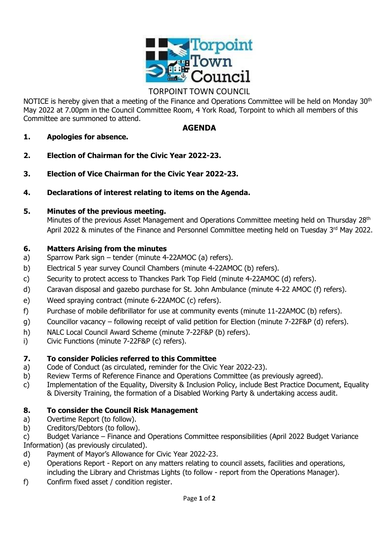

# TORPOINT TOWN COUNCIL

NOTICE is hereby given that a meeting of the Finance and Operations Committee will be held on Monday 30<sup>th</sup> May 2022 at 7.00pm in the Council Committee Room, 4 York Road, Torpoint to which all members of this Committee are summoned to attend.

### **AGENDA**

- **1. Apologies for absence.**
- **2. Election of Chairman for the Civic Year 2022-23.**
- **3. Election of Vice Chairman for the Civic Year 2022-23.**
- **4. Declarations of interest relating to items on the Agenda.**

### **5. Minutes of the previous meeting.**

Minutes of the previous Asset Management and Operations Committee meeting held on Thursday 28<sup>th</sup> April 2022 & minutes of the Finance and Personnel Committee meeting held on Tuesday 3rd May 2022.

## **6. Matters Arising from the minutes**

- a) Sparrow Park sign tender (minute 4-22AMOC (a) refers).
- b) Electrical 5 year survey Council Chambers (minute 4-22AMOC (b) refers).
- c) Security to protect access to Thanckes Park Top Field (minute 4-22AMOC (d) refers).
- d) Caravan disposal and gazebo purchase for St. John Ambulance (minute 4-22 AMOC (f) refers).
- e) Weed spraying contract (minute 6-22AMOC (c) refers).
- f) Purchase of mobile defibrillator for use at community events (minute 11-22AMOC (b) refers).
- g) Councillor vacancy following receipt of valid petition for Election (minute 7-22F&P (d) refers).
- h) NALC Local Council Award Scheme (minute 7-22F&P (b) refers).
- i) Civic Functions (minute 7-22F&P (c) refers).

# **7. To consider Policies referred to this Committee**

- a) Code of Conduct (as circulated, reminder for the Civic Year 2022-23).
- b) Review Terms of Reference Finance and Operations Committee (as previously agreed).
- c) Implementation of the Equality, Diversity & Inclusion Policy, include Best Practice Document, Equality & Diversity Training, the formation of a Disabled Working Party & undertaking access audit.

# **8. To consider the Council Risk Management**

- a) Overtime Report (to follow).
- b) Creditors/Debtors (to follow).

c) Budget Variance – Finance and Operations Committee responsibilities (April 2022 Budget Variance Information) (as previously circulated).

- d) Payment of Mayor's Allowance for Civic Year 2022-23.
- e) Operations Report Report on any matters relating to council assets, facilities and operations, including the Library and Christmas Lights (to follow - report from the Operations Manager).
- f) Confirm fixed asset / condition register.